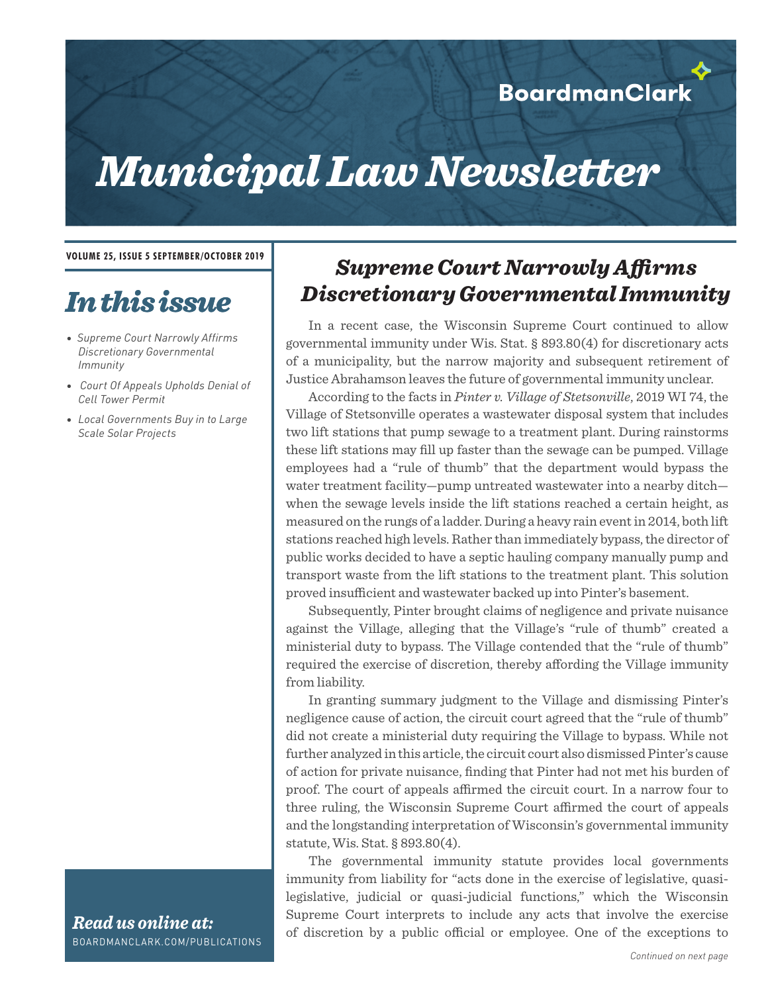#### **BoardmanClark**

## *Municipal Law Newsletter*

**VOLUME 25, ISSUE 5 SEPTEMBER/OCTOBER 2019**

### *In this issue*

- *Supreme Court Narrowly Affirms Discretionary Governmental Immunity*
- *Court Of Appeals Upholds Denial of Cell Tower Permit*
- *• Local Governments Buy in to Large Scale Solar Projects*

# *Supreme Court Narrowly Affirms*

*Discretionary Governmental Immunity*

In a recent case, the Wisconsin Supreme Court continued to allow governmental immunity under Wis. Stat. § 893.80(4) for discretionary acts of a municipality, but the narrow majority and subsequent retirement of Justice Abrahamson leaves the future of governmental immunity unclear.

According to the facts in *Pinter v. Village of Stetsonville*, 2019 WI 74, the Village of Stetsonville operates a wastewater disposal system that includes two lift stations that pump sewage to a treatment plant. During rainstorms these lift stations may fill up faster than the sewage can be pumped. Village employees had a "rule of thumb" that the department would bypass the water treatment facility—pump untreated wastewater into a nearby ditch when the sewage levels inside the lift stations reached a certain height, as measured on the rungs of a ladder. During a heavy rain event in 2014, both lift stations reached high levels. Rather than immediately bypass, the director of public works decided to have a septic hauling company manually pump and transport waste from the lift stations to the treatment plant. This solution proved insufficient and wastewater backed up into Pinter's basement.

Subsequently, Pinter brought claims of negligence and private nuisance against the Village, alleging that the Village's "rule of thumb" created a ministerial duty to bypass. The Village contended that the "rule of thumb" required the exercise of discretion, thereby affording the Village immunity from liability.

In granting summary judgment to the Village and dismissing Pinter's negligence cause of action, the circuit court agreed that the "rule of thumb" did not create a ministerial duty requiring the Village to bypass. While not further analyzed in this article, the circuit court also dismissed Pinter's cause of action for private nuisance, finding that Pinter had not met his burden of proof. The court of appeals affirmed the circuit court. In a narrow four to three ruling, the Wisconsin Supreme Court affirmed the court of appeals and the longstanding interpretation of Wisconsin's governmental immunity statute, Wis. Stat. § 893.80(4).

The governmental immunity statute provides local governments immunity from liability for "acts done in the exercise of legislative, quasilegislative, judicial or quasi-judicial functions," which the Wisconsin Supreme Court interprets to include any acts that involve the exercise of discretion by a public official or employee. One of the exceptions to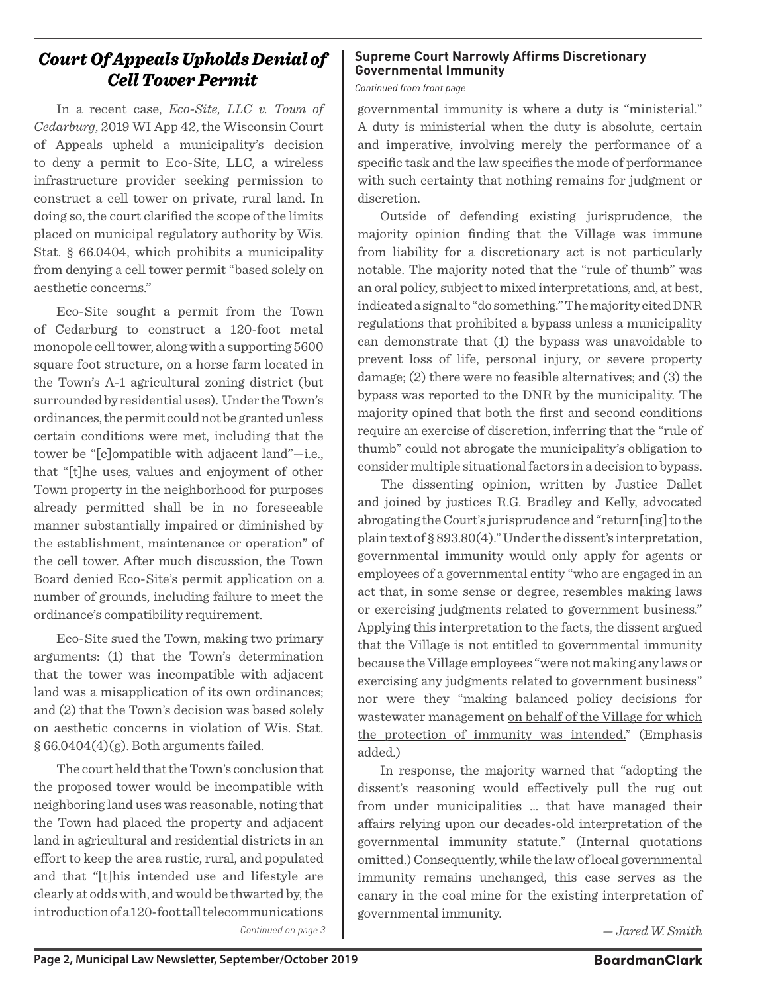#### *Court Of Appeals Upholds Denial of Cell Tower Permit*

In a recent case, *Eco-Site, LLC v. Town of Cedarburg*, 2019 WI App 42, the Wisconsin Court of Appeals upheld a municipality's decision to deny a permit to Eco-Site, LLC, a wireless infrastructure provider seeking permission to construct a cell tower on private, rural land. In doing so, the court clarified the scope of the limits placed on municipal regulatory authority by Wis. Stat. § 66.0404, which prohibits a municipality from denying a cell tower permit "based solely on aesthetic concerns."

Eco-Site sought a permit from the Town of Cedarburg to construct a 120-foot metal monopole cell tower, along with a supporting 5600 square foot structure, on a horse farm located in the Town's A-1 agricultural zoning district (but surrounded by residential uses). Under the Town's ordinances, the permit could not be granted unless certain conditions were met, including that the tower be "[c]ompatible with adjacent land"—i.e., that "[t]he uses, values and enjoyment of other Town property in the neighborhood for purposes already permitted shall be in no foreseeable manner substantially impaired or diminished by the establishment, maintenance or operation" of the cell tower. After much discussion, the Town Board denied Eco-Site's permit application on a number of grounds, including failure to meet the ordinance's compatibility requirement.

Eco-Site sued the Town, making two primary arguments: (1) that the Town's determination that the tower was incompatible with adjacent land was a misapplication of its own ordinances; and (2) that the Town's decision was based solely on aesthetic concerns in violation of Wis. Stat.  $§ 66.0404(4)(g)$ . Both arguments failed.

The court held that the Town's conclusion that the proposed tower would be incompatible with neighboring land uses was reasonable, noting that the Town had placed the property and adjacent land in agricultural and residential districts in an effort to keep the area rustic, rural, and populated and that "[t]his intended use and lifestyle are clearly at odds with, and would be thwarted by, the introduction of a 120-foot tall telecommunications *Continued on page 3*

#### **Supreme Court Narrowly Affirms Discretionary Governmental Immunity**

*Continued from front page*

governmental immunity is where a duty is "ministerial." A duty is ministerial when the duty is absolute, certain and imperative, involving merely the performance of a specific task and the law specifies the mode of performance with such certainty that nothing remains for judgment or discretion.

Outside of defending existing jurisprudence, the majority opinion finding that the Village was immune from liability for a discretionary act is not particularly notable. The majority noted that the "rule of thumb" was an oral policy, subject to mixed interpretations, and, at best, indicated a signal to "do something." The majority cited DNR regulations that prohibited a bypass unless a municipality can demonstrate that (1) the bypass was unavoidable to prevent loss of life, personal injury, or severe property damage; (2) there were no feasible alternatives; and (3) the bypass was reported to the DNR by the municipality. The majority opined that both the first and second conditions require an exercise of discretion, inferring that the "rule of thumb" could not abrogate the municipality's obligation to consider multiple situational factors in a decision to bypass.

The dissenting opinion, written by Justice Dallet and joined by justices R.G. Bradley and Kelly, advocated abrogating the Court's jurisprudence and "return[ing] to the plain text of § 893.80(4)." Under the dissent's interpretation, governmental immunity would only apply for agents or employees of a governmental entity "who are engaged in an act that, in some sense or degree, resembles making laws or exercising judgments related to government business." Applying this interpretation to the facts, the dissent argued that the Village is not entitled to governmental immunity because the Village employees "were not making any laws or exercising any judgments related to government business" nor were they "making balanced policy decisions for wastewater management on behalf of the Village for which the protection of immunity was intended." (Emphasis added.)

In response, the majority warned that "adopting the dissent's reasoning would effectively pull the rug out from under municipalities … that have managed their affairs relying upon our decades-old interpretation of the governmental immunity statute." (Internal quotations omitted.) Consequently, while the law of local governmental immunity remains unchanged, this case serves as the canary in the coal mine for the existing interpretation of governmental immunity.

*— Jared W. Smith*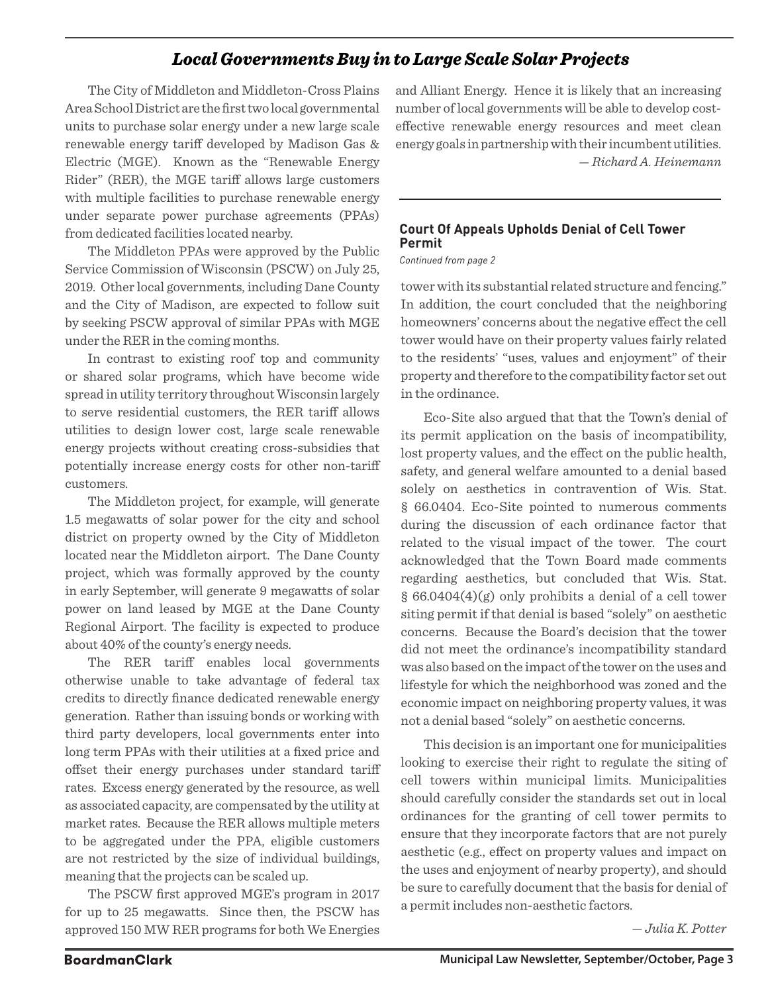#### *Local Governments Buy in to Large Scale Solar Projects*

The City of Middleton and Middleton-Cross Plains Area School District are the first two local governmental units to purchase solar energy under a new large scale renewable energy tariff developed by Madison Gas & Electric (MGE). Known as the "Renewable Energy Rider" (RER), the MGE tariff allows large customers with multiple facilities to purchase renewable energy under separate power purchase agreements (PPAs) from dedicated facilities located nearby.

The Middleton PPAs were approved by the Public Service Commission of Wisconsin (PSCW) on July 25, 2019. Other local governments, including Dane County and the City of Madison, are expected to follow suit by seeking PSCW approval of similar PPAs with MGE under the RER in the coming months.

In contrast to existing roof top and community or shared solar programs, which have become wide spread in utility territory throughout Wisconsin largely to serve residential customers, the RER tariff allows utilities to design lower cost, large scale renewable energy projects without creating cross-subsidies that potentially increase energy costs for other non-tariff customers.

The Middleton project, for example, will generate 1.5 megawatts of solar power for the city and school district on property owned by the City of Middleton located near the Middleton airport. The Dane County project, which was formally approved by the county in early September, will generate 9 megawatts of solar power on land leased by MGE at the Dane County Regional Airport. The facility is expected to produce about 40% of the county's energy needs.

The RER tariff enables local governments otherwise unable to take advantage of federal tax credits to directly finance dedicated renewable energy generation. Rather than issuing bonds or working with third party developers, local governments enter into long term PPAs with their utilities at a fixed price and offset their energy purchases under standard tariff rates. Excess energy generated by the resource, as well as associated capacity, are compensated by the utility at market rates. Because the RER allows multiple meters to be aggregated under the PPA, eligible customers are not restricted by the size of individual buildings, meaning that the projects can be scaled up.

The PSCW first approved MGE's program in 2017 for up to 25 megawatts. Since then, the PSCW has approved 150 MW RER programs for both We Energies and Alliant Energy. Hence it is likely that an increasing number of local governments will be able to develop costeffective renewable energy resources and meet clean energy goals in partnership with their incumbent utilities. *— Richard A. Heinemann*

#### **Court Of Appeals Upholds Denial of Cell Tower Permit**

*Continued from page 2*

tower with its substantial related structure and fencing." In addition, the court concluded that the neighboring homeowners' concerns about the negative effect the cell tower would have on their property values fairly related to the residents' "uses, values and enjoyment" of their property and therefore to the compatibility factor set out in the ordinance.

Eco-Site also argued that that the Town's denial of its permit application on the basis of incompatibility, lost property values, and the effect on the public health, safety, and general welfare amounted to a denial based solely on aesthetics in contravention of Wis. Stat. § 66.0404. Eco-Site pointed to numerous comments during the discussion of each ordinance factor that related to the visual impact of the tower. The court acknowledged that the Town Board made comments regarding aesthetics, but concluded that Wis. Stat. § 66.0404(4)(g) only prohibits a denial of a cell tower siting permit if that denial is based "solely" on aesthetic concerns. Because the Board's decision that the tower did not meet the ordinance's incompatibility standard was also based on the impact of the tower on the uses and lifestyle for which the neighborhood was zoned and the economic impact on neighboring property values, it was not a denial based "solely" on aesthetic concerns.

This decision is an important one for municipalities looking to exercise their right to regulate the siting of cell towers within municipal limits. Municipalities should carefully consider the standards set out in local ordinances for the granting of cell tower permits to ensure that they incorporate factors that are not purely aesthetic (e.g., effect on property values and impact on the uses and enjoyment of nearby property), and should be sure to carefully document that the basis for denial of a permit includes non-aesthetic factors.

*— Julia K. Potter*